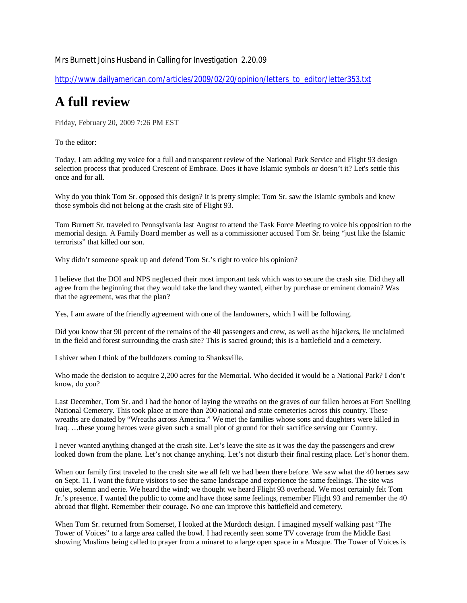## Mrs Burnett Joins Husband in Calling for Investigation 2.20.09

http://www.dailyamerican.com/articles/2009/02/20/opinion/letters\_to\_editor/letter353.txt

## **A full review**

Friday, February 20, 2009 7:26 PM EST

To the editor:

Today, I am adding my voice for a full and transparent review of the National Park Service and Flight 93 design selection process that produced Crescent of Embrace. Does it have Islamic symbols or doesn't it? Let's settle this once and for all.

Why do you think Tom Sr. opposed this design? It is pretty simple; Tom Sr. saw the Islamic symbols and knew those symbols did not belong at the crash site of Flight 93.

Tom Burnett Sr. traveled to Pennsylvania last August to attend the Task Force Meeting to voice his opposition to the memorial design. A Family Board member as well as a commissioner accused Tom Sr. being "just like the Islamic terrorists" that killed our son.

Why didn't someone speak up and defend Tom Sr.'s right to voice his opinion?

I believe that the DOI and NPS neglected their most important task which was to secure the crash site. Did they all agree from the beginning that they would take the land they wanted, either by purchase or eminent domain? Was that the agreement, was that the plan?

Yes, I am aware of the friendly agreement with one of the landowners, which I will be following.

Did you know that 90 percent of the remains of the 40 passengers and crew, as well as the hijackers, lie unclaimed in the field and forest surrounding the crash site? This is sacred ground; this is a battlefield and a cemetery.

I shiver when I think of the bulldozers coming to Shanksville.

Who made the decision to acquire 2,200 acres for the Memorial. Who decided it would be a National Park? I don't know, do you?

Last December, Tom Sr. and I had the honor of laying the wreaths on the graves of our fallen heroes at Fort Snelling National Cemetery. This took place at more than 200 national and state cemeteries across this country. These wreaths are donated by "Wreaths across America." We met the families whose sons and daughters were killed in Iraq. …these young heroes were given such a small plot of ground for their sacrifice serving our Country.

I never wanted anything changed at the crash site. Let's leave the site as it was the day the passengers and crew looked down from the plane. Let's not change anything. Let's not disturb their final resting place. Let's honor them.

When our family first traveled to the crash site we all felt we had been there before. We saw what the 40 heroes saw on Sept. 11. I want the future visitors to see the same landscape and experience the same feelings. The site was quiet, solemn and eerie. We heard the wind; we thought we heard Flight 93 overhead. We most certainly felt Tom Jr.'s presence. I wanted the public to come and have those same feelings, remember Flight 93 and remember the 40 abroad that flight. Remember their courage. No one can improve this battlefield and cemetery.

When Tom Sr. returned from Somerset, I looked at the Murdoch design. I imagined myself walking past "The Tower of Voices" to a large area called the bowl. I had recently seen some TV coverage from the Middle East showing Muslims being called to prayer from a minaret to a large open space in a Mosque. The Tower of Voices is